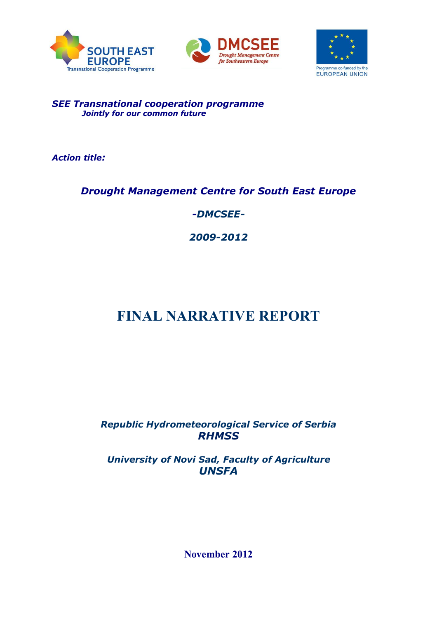





# *SEE Transnational cooperation programme Jointly for our common future*

*Action title:* 

# *Drought Management Centre for South East Europe*

*-DMCSEE-*

*2009-2012*

# **FINAL NARRATIVE REPORT**

*Republic Hydrometeorological Service of Serbia RHMSS*

*University of Novi Sad, Faculty of Agriculture UNSFA*

**November 2012**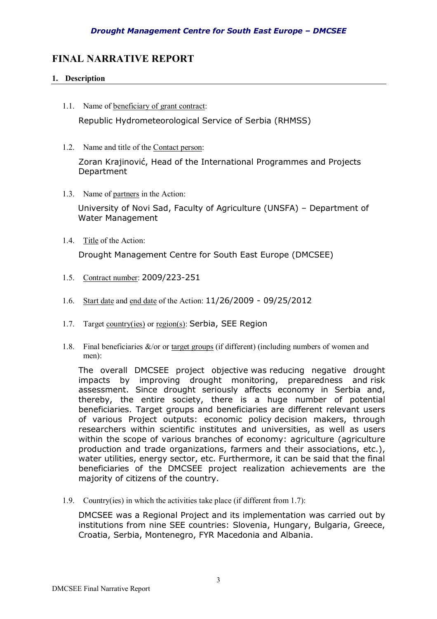# **FINAL NARRATIVE REPORT**

# **1. Description**

- 1.1. Name of beneficiary of grant contract: Republic Hydrometeorological Service of Serbia (RHMSS)
- 1.2. Name and title of the Contact person:

Zoran Krajinović, Head of the International Programmes and Projects Department

1.3. Name of partners in the Action:

University of Novi Sad, Faculty of Agriculture (UNSFA) – Department of Water Management

1.4. Title of the Action:

Drought Management Centre for South East Europe (DMCSEE)

- 1.5. Contract number: 2009/223-251
- 1.6. Start date and end date of the Action: 11/26/2009 09/25/2012
- 1.7. Target country(ies) or region(s): Serbia, SEE Region
- 1.8. Final beneficiaries  $\&$ /or or target groups (if different) (including numbers of women and men):

The overall DMCSEE project objective was reducing negative drought impacts by improving drought monitoring, preparedness and risk assessment. Since drought seriously affects economy in Serbia and, thereby, the entire society, there is a huge number of potential beneficiaries. Target groups and beneficiaries are different relevant users of various Project outputs: economic policy decision makers, through researchers within scientific institutes and universities, as well as users within the scope of various branches of economy: agriculture (agriculture production and trade organizations, farmers and their associations, etc.), water utilities, energy sector, etc. Furthermore, it can be said that the final beneficiaries of the DMCSEE project realization achievements are the majority of citizens of the country.

1.9. Country(ies) in which the activities take place (if different from 1.7):

DMCSEE was a Regional Project and its implementation was carried out by institutions from nine SEE countries: Slovenia, Hungary, Bulgaria, Greece, Croatia, Serbia, Montenegro, FYR Macedonia and Albania.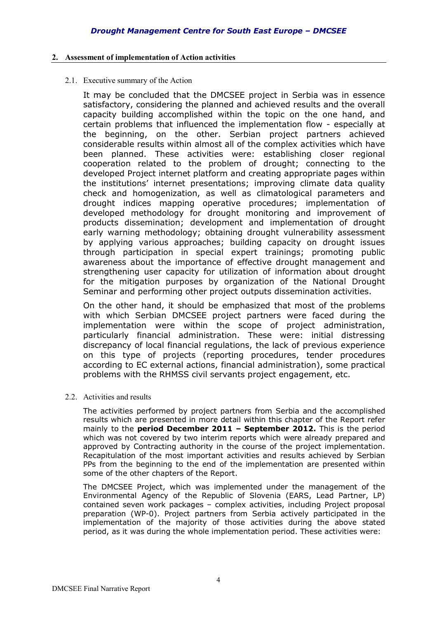# **2. Assessment of implementation of Action activities**

2.1. Executive summary of the Action

It may be concluded that the DMCSEE project in Serbia was in essence satisfactory, considering the planned and achieved results and the overall capacity building accomplished within the topic on the one hand, and certain problems that influenced the implementation flow - especially at the beginning, on the other. Serbian project partners achieved considerable results within almost all of the complex activities which have been planned. These activities were: establishing closer regional cooperation related to the problem of drought; connecting to the developed Project internet platform and creating appropriate pages within the institutions' internet presentations; improving climate data quality check and homogenization, as well as climatological parameters and drought indices mapping operative procedures; implementation of developed methodology for drought monitoring and improvement of products dissemination; development and implementation of drought early warning methodology; obtaining drought vulnerability assessment by applying various approaches; building capacity on drought issues through participation in special expert trainings; promoting public awareness about the importance of effective drought management and strengthening user capacity for utilization of information about drought for the mitigation purposes by organization of the National Drought Seminar and performing other project outputs dissemination activities.

On the other hand, it should be emphasized that most of the problems with which Serbian DMCSEE project partners were faced during the implementation were within the scope of project administration, particularly financial administration. These were: initial distressing discrepancy of local financial regulations, the lack of previous experience on this type of projects (reporting procedures, tender procedures according to EC external actions, financial administration), some practical problems with the RHMSS civil servants project engagement, etc.

2.2. Activities and results

The activities performed by project partners from Serbia and the accomplished results which are presented in more detail within this chapter of the Report refer mainly to the **period December 2011 – September 2012.** This is the period which was not covered by two interim reports which were already prepared and approved by Contracting authority in the course of the project implementation. Recapitulation of the most important activities and results achieved by Serbian PPs from the beginning to the end of the implementation are presented within some of the other chapters of the Report.

The DMCSEE Project, which was implemented under the management of the Environmental Agency of the Republic of Slovenia (EARS, Lead Partner, LP) contained seven work packages – complex activities, including Project proposal preparation (WP-0). Project partners from Serbia actively participated in the implementation of the majority of those activities during the above stated period, as it was during the whole implementation period. These activities were: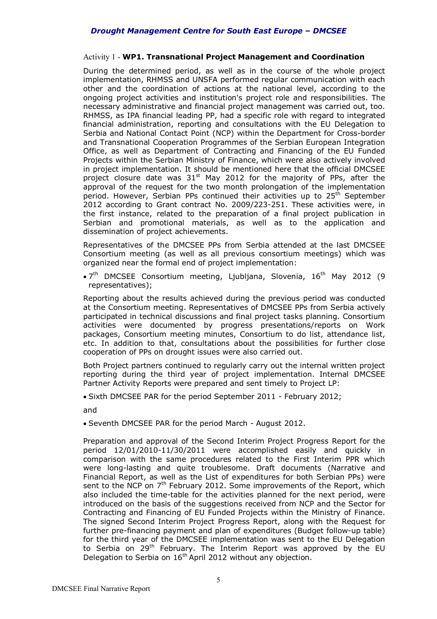# Activity 1 - **WP1. Transnational Project Management and Coordination**

During the determined period, as well as in the course of the whole project implementation, RHMSS and UNSFA performed regular communication with each other and the coordination of actions at the national level, according to the ongoing project activities and institution's project role and responsibilities. The necessary administrative and financial project management was carried out, too. RHMSS, as IPA financial leading PP, had a specific role with regard to integrated financial administration, reporting and consultations with the EU Delegation to Serbia and National Contact Point (NCP) within the Department for Cross-border and Transnational Cooperation Programmes of the Serbian European Integration Office, as well as Department of Contracting and Financing of the EU Funded Projects within the Serbian Ministry of Finance, which were also actively involved in project implementation. It should be mentioned here that the official DMCSEE project closure date was  $31<sup>st</sup>$  May 2012 for the majority of PPs, after the approval of the request for the two month prolongation of the implementation period. However, Serbian PPs continued their activities up to 25<sup>th</sup> September 2012 according to Grant contract No. 2009/223-251. These activities were, in the first instance, related to the preparation of a final project publication in Serbian and promotional materials, as well as to the application and dissemination of project achievements.

Representatives of the DMCSEE PPs from Serbia attended at the last DMCSEE Consortium meeting (as well as all previous consortium meetings) which was organized near the formal end of project implementation:

• 7<sup>th</sup> DMCSEE Consortium meeting, Ljubljana, Slovenia, 16<sup>th</sup> May 2012 (9 representatives);

Reporting about the results achieved during the previous period was conducted at the Consortium meeting. Representatives of DMCSEE PPs from Serbia actively participated in technical discussions and final project tasks planning. Consortium activities were documented by progress presentations/reports on Work packages, Consortium meeting minutes, Consortium to do list, attendance list, etc. In addition to that, consultations about the possibilities for further close cooperation of PPs on drought issues were also carried out.

Both Project partners continued to regularly carry out the internal written project reporting during the third year of project implementation. Internal DMCSEE Partner Activity Reports were prepared and sent timely to Project LP:

Sixth DMCSEE PAR for the period September 2011 - February 2012;

and

Seventh DMCSEE PAR for the period March - August 2012.

Preparation and approval of the Second Interim Project Progress Report for the period 12/01/2010-11/30/2011 were accomplished easily and quickly in comparison with the same procedures related to the First Interim PPR which were long-lasting and quite troublesome. Draft documents (Narrative and Financial Report, as well as the List of expenditures for both Serbian PPs) were sent to the NCP on 7<sup>th</sup> February 2012. Some improvements of the Report, which also included the time-table for the activities planned for the next period, were introduced on the basis of the suggestions received from NCP and the Sector for Contracting and Financing of EU Funded Projects within the Ministry of Finance. The signed Second Interim Project Progress Report, along with the Request for further pre-financing payment and plan of expenditures (Budget follow-up table) for the third year of the DMCSEE implementation was sent to the EU Delegation to Serbia on 29<sup>th</sup> February. The Interim Report was approved by the EU Delegation to Serbia on 16<sup>th</sup> April 2012 without any objection.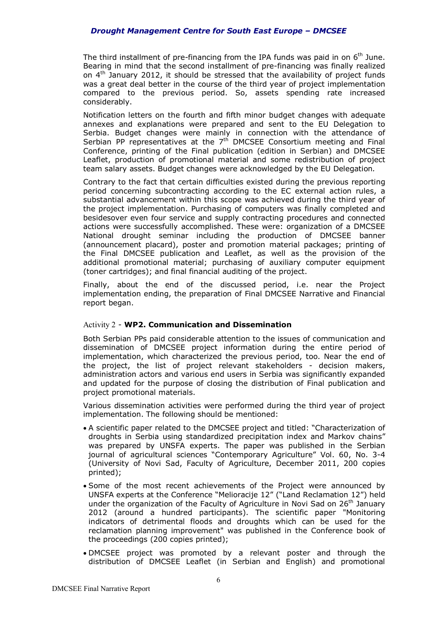The third installment of pre-financing from the IPA funds was paid in on  $6<sup>th</sup>$  June. Bearing in mind that the second installment of pre-financing was finally realized on  $4<sup>th</sup>$  January 2012, it should be stressed that the availability of project funds was a great deal better in the course of the third year of project implementation compared to the previous period. So, assets spending rate increased considerably.

Notification letters on the fourth and fifth minor budget changes with adequate annexes and explanations were prepared and sent to the EU Delegation to Serbia. Budget changes were mainly in connection with the attendance of Serbian PP representatives at the  $7<sup>th</sup>$  DMCSEE Consortium meeting and Final Conference, printing of the Final publication (edition in Serbian) and DMCSEE Leaflet, production of promotional material and some redistribution of project team salary assets. Budget changes were acknowledged by the EU Delegation*.*

Contrary to the fact that certain difficulties existed during the previous reporting period concerning subcontracting according to the EC external action rules, a substantial advancement within this scope was achieved during the third year of the project implementation. Purchasing of computers was finally completed and besidesover even four service and supply contracting procedures and connected actions were successfully accomplished. These were: organization of a DMCSEE National drought seminar including the production of DMCSEE banner (announcement placard), poster and promotion material packages; printing of the Final DMCSEE publication and Leaflet, as well as the provision of the additional promotional material; purchasing of auxiliary computer equipment (toner cartridges); and final financial auditing of the project.

Finally, about the end of the discussed period, i.e. near the Project implementation ending, the preparation of Final DMCSEE Narrative and Financial report began.

# Activity 2 - **WP2. Communication and Dissemination**

Both Serbian PPs paid considerable attention to the issues of communication and dissemination of DMCSEE project information during the entire period of implementation, which characterized the previous period, too. Near the end of the project, the list of project relevant stakeholders - decision makers, administration actors and various end users in Serbia was significantly expanded and updated for the purpose of closing the distribution of Final publication and project promotional materials.

Various dissemination activities were performed during the third year of project implementation. The following should be mentioned:

- A scientific paper related to the DMCSEE project and titled: "Characterization of droughts in Serbia using standardized precipitation index and Markov chains" was prepared by UNSFA experts. The paper was published in the Serbian journal of agricultural sciences "Contemporary Agriculture" Vol. 60, No. 3-4 (University of Novi Sad, Faculty of Agriculture, December 2011, 200 copies printed);
- Some of the most recent achievements of the Project were announced by UNSFA experts at the Conference "Melioracije 12" ("Land Reclamation 12") held under the organization of the Faculty of Agriculture in Novi Sad on 26<sup>th</sup> January 2012 (around a hundred participants). The scientific paper "Monitoring indicators of detrimental floods and droughts which can be used for the reclamation planning improvement" was published in the Conference book of the proceedings (200 copies printed);
- DMCSEE project was promoted by a relevant poster and through the distribution of DMCSEE Leaflet (in Serbian and English) and promotional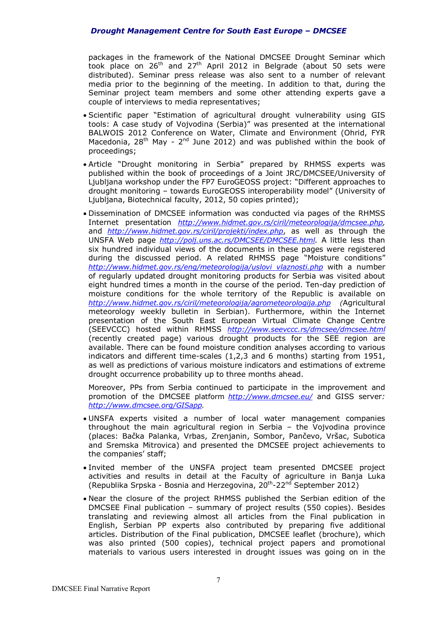packages in the framework of the National DMCSEE Drought Seminar which took place on 26<sup>th</sup> and 27<sup>th</sup> April 2012 in Belgrade (about 50 sets were distributed). Seminar press release was also sent to a number of relevant media prior to the beginning of the meeting. In addition to that, during the Seminar project team members and some other attending experts gave a couple of interviews to media representatives;

- Scientific paper "Estimation of agricultural drought vulnerability using GIS tools: A case study of Vojvodina (Serbia)" was presented at the international BALWOIS 2012 Conference on Water, Climate and Environment (Ohrid, FYR Macedonia,  $28<sup>th</sup>$  May -  $2<sup>nd</sup>$  June 2012) and was published within the book of proceedings;
- Article "Drought monitoring in Serbia" prepared by RHMSS experts was published within the book of proceedings of a Joint JRC/DMCSEE/University of Ljubljana workshop under the FP7 EuroGEOSS project: "Different approaches to drought monitoring – towards EuroGEOSS interoperability model" (University of Ljubljana, Biotechnical faculty, 2012, 50 copies printed);
- Dissemination of DMCSEE information was conducted via pages of the RHMSS Internet presentation *http://www.hidmet.gov.rs/ciril/meteorologija/dmcsee.php,*  and *http://www.hidmet.gov.rs/ciril/projekti/index.php*, as well as through the UNSFA Web page *http://polj.uns.ac.rs/DMCSEE/DMCSEE.html.* A little less than six hundred individual views of the documents in these pages were registered during the discussed period. A related RHMSS page "Moisture conditions" *http://www.hidmet.gov.rs/eng/meteorologija/uslovi vlaznosti.php* with a number of regularly updated drought monitoring products for Serbia was visited about eight hundred times a month in the course of the period. Ten-day prediction of moisture conditions for the whole territory of the Republic is available on *http://www.hidmet.gov.rs/ciril/meteorologija/agrometeorologija.php (*Agricultural meteorology weekly bulletin in Serbian). Furthermore, within the Internet presentation of the South East European Virtual Climate Change Centre (SEEVCCC) hosted within RHMSS *http://www.seevccc.rs/dmcsee/dmcsee.html* (recently created page) various drought products for the SEE region are available. There can be found moisture condition analyses according to various indicators and different time-scales (1,2,3 and 6 months) starting from 1951, as well as predictions of various moisture indicators and estimations of extreme drought occurrence probability up to three months ahead.

Moreover, PPs from Serbia continued to participate in the improvement and promotion of the DMCSEE platform *http://www.dmcsee.eu/* and GISS server*: http://www.dmcsee.org/GISapp.*

- UNSFA experts visited a number of local water management companies throughout the main agricultural region in Serbia – the Vojvodina province (places: Bačka Palanka, Vrbas, Zrenjanin, Sombor, Pančevo, Vršac, Subotica and Sremska Mitrovica) and presented the DMCSEE project achievements to the companies' staff;
- Invited member of the UNSFA project team presented DMCSEE project activities and results in detail at the Faculty of agriculture in Banja Luka (Republika Srpska - Bosnia and Herzegovina, 20<sup>th</sup>-22<sup>nd</sup> September 2012)
- Near the closure of the project RHMSS published the Serbian edition of the DMCSEE Final publication – summary of project results (550 copies). Besides translating and reviewing almost all articles from the Final publication in English, Serbian PP experts also contributed by preparing five additional articles. Distribution of the Final publication, DMCSEE leaflet (brochure), which was also printed (500 copies), technical project papers and promotional materials to various users interested in drought issues was going on in the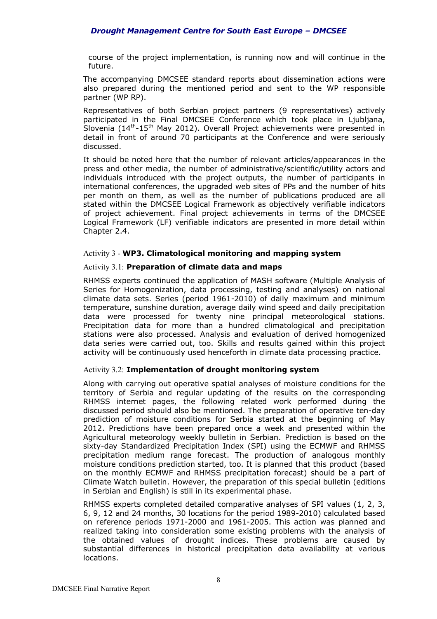course of the project implementation, is running now and will continue in the future.

The accompanying DMCSEE standard reports about dissemination actions were also prepared during the mentioned period and sent to the WP responsible partner (WP RP).

Representatives of both Serbian project partners (9 representatives) actively participated in the Final DMCSEE Conference which took place in Ljubljana, Slovenia (14<sup>th</sup>-15<sup>th</sup> May 2012). Overall Project achievements were presented in detail in front of around 70 participants at the Conference and were seriously discussed.

It should be noted here that the number of relevant articles/appearances in the press and other media, the number of administrative/scientific/utility actors and individuals introduced with the project outputs, the number of participants in international conferences, the upgraded web sites of PPs and the number of hits per month on them, as well as the number of publications produced are all stated within the DMCSEE Logical Framework as objectively verifiable indicators of project achievement. Final project achievements in terms of the DMCSEE Logical Framework (LF) verifiable indicators are presented in more detail within Chapter 2.4.

#### Activity 3 - **WP3. Climatological monitoring and mapping system**

#### Activity 3.1: **Preparation of climate data and maps**

RHMSS experts continued the application of MASH software (Multiple Analysis of Series for Homogenization, data processing, testing and analyses) on national climate data sets. Series (period 1961-2010) of daily maximum and minimum temperature, sunshine duration, average daily wind speed and daily precipitation data were processed for twenty nine principal meteorological stations. Precipitation data for more than a hundred climatological and precipitation stations were also processed. Analysis and evaluation of derived homogenized data series were carried out, too. Skills and results gained within this project activity will be continuously used henceforth in climate data processing practice.

# Activity 3.2: **Implementation of drought monitoring system**

Along with carrying out operative spatial analyses of moisture conditions for the territory of Serbia and regular updating of the results on the corresponding RHMSS internet pages, the following related work performed during the discussed period should also be mentioned. The preparation of operative ten-day prediction of moisture conditions for Serbia started at the beginning of May 2012. Predictions have been prepared once a week and presented within the Agricultural meteorology weekly bulletin in Serbian. Prediction is based on the sixty-day Standardized Precipitation Index (SPI) using the ECMWF and RHMSS precipitation medium range forecast. The production of analogous monthly moisture conditions prediction started, too. It is planned that this product (based on the monthly ECMWF and RHMSS precipitation forecast) should be a part of Climate Watch bulletin. However, the preparation of this special bulletin (editions in Serbian and English) is still in its experimental phase.

RHMSS experts completed detailed comparative analyses of SPI values (1, 2, 3, 6, 9, 12 and 24 months, 30 locations for the period 1989-2010) calculated based on reference periods 1971-2000 and 1961-2005. This action was planned and realized taking into consideration some existing problems with the analysis of the obtained values of drought indices. These problems are caused by substantial differences in historical precipitation data availability at various locations.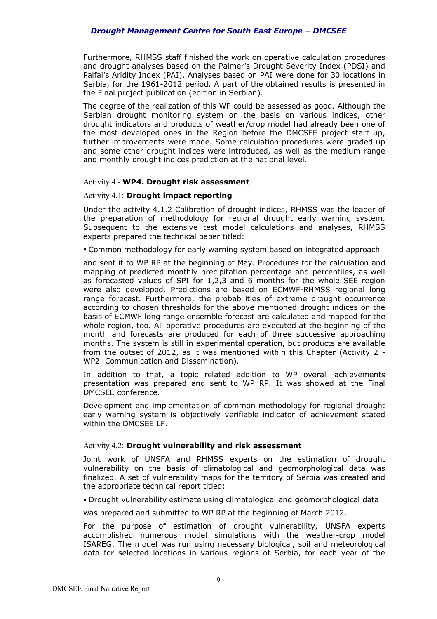Furthermore, RHMSS staff finished the work on operative calculation procedures and drought analyses based on the Palmer's Drought Severity Index (PDSI) and Palfai's Aridity Index (PAI). Analyses based on PAI were done for 30 locations in Serbia, for the 1961-2012 period. A part of the obtained results is presented in the Final project publication (edition in Serbian).

The degree of the realization of this WP could be assessed as good. Although the Serbian drought monitoring system on the basis on various indices, other drought indicators and products of weather/crop model had already been one of the most developed ones in the Region before the DMCSEE project start up, further improvements were made. Some calculation procedures were graded up and some other drought indices were introduced, as well as the medium range and monthly drought indices prediction at the national level.

#### Activity 4 *-* **WP4. Drought risk assessment**

#### Activity 4.1: **Drought impact reporting**

Under the activity 4.1.2 Calibration of drought indices, RHMSS was the leader of the preparation of methodology for regional drought early warning system. Subsequent to the extensive test model calculations and analyses, RHMSS experts prepared the technical paper titled:

Common methodology for early warning system based on integrated approach

and sent it to WP RP at the beginning of May. Procedures for the calculation and mapping of predicted monthly precipitation percentage and percentiles, as well as forecasted values of SPI for 1,2,3 and 6 months for the whole SEE region were also developed. Predictions are based on ECMWF-RHMSS regional long range forecast. Furthermore, the probabilities of extreme drought occurrence according to chosen thresholds for the above mentioned drought indices on the basis of ECMWF long range ensemble forecast are calculated and mapped for the whole region, too. All operative procedures are executed at the beginning of the month and forecasts are produced for each of three successive approaching months. The system is still in experimental operation, but products are available from the outset of 2012, as it was mentioned within this Chapter (Activity 2 - WP2. Communication and Dissemination).

In addition to that, a topic related addition to WP overall achievements presentation was prepared and sent to WP RP. It was showed at the Final DMCSEE conference.

Development and implementation of common methodology for regional drought early warning system is objectively verifiable indicator of achievement stated within the DMCSEE LF.

# Activity 4.2: **Drought vulnerability and risk assessment**

Joint work of UNSFA and RHMSS experts on the estimation of drought vulnerability on the basis of climatological and geomorphological data was finalized. A set of vulnerability maps for the territory of Serbia was created and the appropriate technical report titled:

Drought vulnerability estimate using climatological and geomorphological data

was prepared and submitted to WP RP at the beginning of March 2012.

For the purpose of estimation of drought vulnerability, UNSFA experts accomplished numerous model simulations with the weather-crop model ISAREG. The model was run using necessary biological, soil and meteorological data for selected locations in various regions of Serbia, for each year of the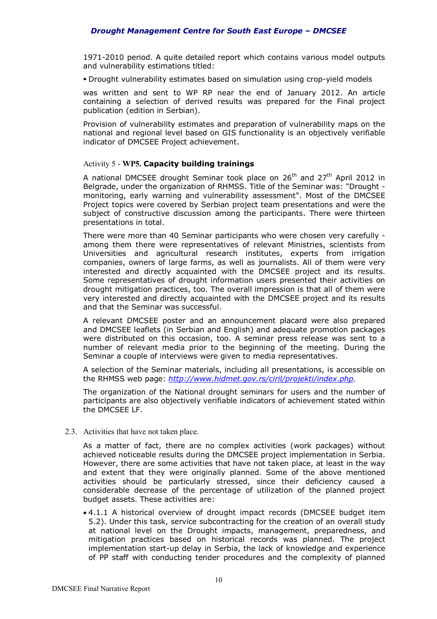1971-2010 period. A quite detailed report which contains various model outputs and vulnerability estimations titled:

Drought vulnerability estimates based on simulation using crop-yield models

was written and sent to WP RP near the end of January 2012. An article containing a selection of derived results was prepared for the Final project publication (edition in Serbian).

Provision of vulnerability estimates and preparation of vulnerability maps on the national and regional level based on GIS functionality is an objectively verifiable indicator of DMCSEE Project achievement.

# Activity 5 - **WP5. Capacity building trainings**

A national DMCSEE drought Seminar took place on  $26<sup>th</sup>$  and  $27<sup>th</sup>$  April 2012 in Belgrade, under the organization of RHMSS. Title of the Seminar was: "Drought monitoring, early warning and vulnerability assessment". Most of the DMCSEE Project topics were covered by Serbian project team presentations and were the subject of constructive discussion among the participants. There were thirteen presentations in total.

There were more than 40 Seminar participants who were chosen very carefully among them there were representatives of relevant Ministries, scientists from Universities and agricultural research institutes, experts from irrigation companies, owners of large farms, as well as journalists. All of them were very interested and directly acquainted with the DMCSEE project and its results. Some representatives of drought information users presented their activities on drought mitigation practices, too. The overall impression is that all of them were very interested and directly acquainted with the DMCSEE project and its results and that the Seminar was successful.

A relevant DMCSEE poster and an announcement placard were also prepared and DMCSEE leaflets (in Serbian and English) and adequate promotion packages were distributed on this occasion, too. A seminar press release was sent to a number of relevant media prior to the beginning of the meeting. During the Seminar a couple of interviews were given to media representatives.

A selection of the Seminar materials, including all presentations, is accessible on the RHMSS web page: *http://www.hidmet.gov.rs/ciril/projekti/index.php.*

The organization of the National drought seminars for users and the number of participants are also objectively verifiable indicators of achievement stated within the DMCSEE LF.

2.3. Activities that have not taken place.

As a matter of fact, there are no complex activities (work packages) without achieved noticeable results during the DMCSEE project implementation in Serbia. However, there are some activities that have not taken place, at least in the way and extent that they were originally planned. Some of the above mentioned activities should be particularly stressed, since their deficiency caused a considerable decrease of the percentage of utilization of the planned project budget assets. These activities are:

 4.1.1 A historical overview of drought impact records (DMCSEE budget item 5.2). Under this task, service subcontracting for the creation of an overall study at national level on the Drought impacts, management, preparedness, and mitigation practices based on historical records was planned. The project implementation start-up delay in Serbia, the lack of knowledge and experience of PP staff with conducting tender procedures and the complexity of planned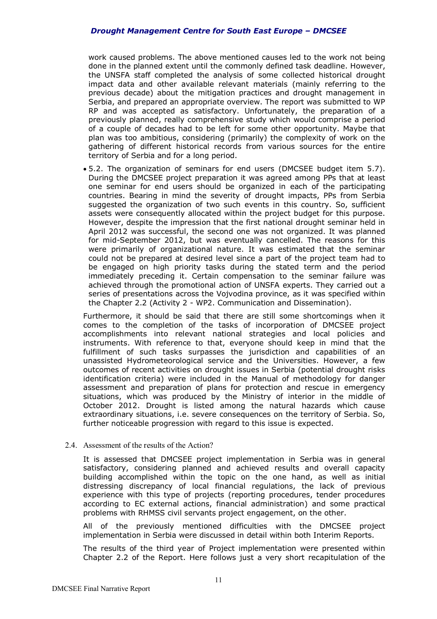work caused problems. The above mentioned causes led to the work not being done in the planned extent until the commonly defined task deadline. However, the UNSFA staff completed the analysis of some collected historical drought impact data and other available relevant materials (mainly referring to the previous decade) about the mitigation practices and drought management in Serbia, and prepared an appropriate overview. The report was submitted to WP RP and was accepted as satisfactory. Unfortunately, the preparation of a previously planned, really comprehensive study which would comprise a period of a couple of decades had to be left for some other opportunity. Maybe that plan was too ambitious, considering (primarily) the complexity of work on the gathering of different historical records from various sources for the entire territory of Serbia and for a long period.

 5.2. The organization of seminars for end users (DMCSEE budget item 5.7). During the DMCSEE project preparation it was agreed among PPs that at least one seminar for end users should be organized in each of the participating countries. Bearing in mind the severity of drought impacts, PPs from Serbia suggested the organization of two such events in this country. So, sufficient assets were consequently allocated within the project budget for this purpose. However, despite the impression that the first national drought seminar held in April 2012 was successful, the second one was not organized. It was planned for mid-September 2012, but was eventually cancelled. The reasons for this were primarily of organizational nature. It was estimated that the seminar could not be prepared at desired level since a part of the project team had to be engaged on high priority tasks during the stated term and the period immediately preceding it. Certain compensation to the seminar failure was achieved through the promotional action of UNSFA experts. They carried out a series of presentations across the Vojvodina province, as it was specified within the Chapter 2.2 (Activity 2 - WP2. Communication and Dissemination).

Furthermore, it should be said that there are still some shortcomings when it comes to the completion of the tasks of incorporation of DMCSEE project accomplishments into relevant national strategies and local policies and instruments. With reference to that, everyone should keep in mind that the fulfillment of such tasks surpasses the jurisdiction and capabilities of an unassisted Hydrometeorological service and the Universities. However, a few outcomes of recent activities on drought issues in Serbia (potential drought risks identification criteria) were included in the Manual of methodology for danger assessment and preparation of plans for protection and rescue in emergency situations, which was produced by the Ministry of interior in the middle of October 2012. Drought is listed among the natural hazards which cause extraordinary situations, i.e. severe consequences on the territory of Serbia. So, further noticeable progression with regard to this issue is expected.

# 2.4. Assessment of the results of the Action?

It is assessed that DMCSEE project implementation in Serbia was in general satisfactory, considering planned and achieved results and overall capacity building accomplished within the topic on the one hand, as well as initial distressing discrepancy of local financial regulations, the lack of previous experience with this type of projects (reporting procedures, tender procedures according to EC external actions, financial administration) and some practical problems with RHMSS civil servants project engagement, on the other.

All of the previously mentioned difficulties with the DMCSEE project implementation in Serbia were discussed in detail within both Interim Reports.

The results of the third year of Project implementation were presented within Chapter 2.2 of the Report. Here follows just a very short recapitulation of the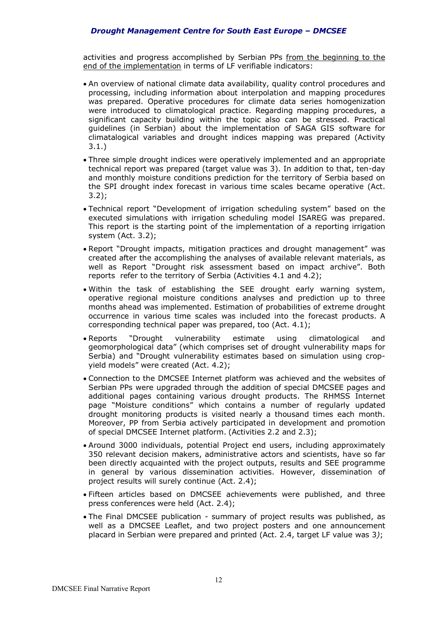activities and progress accomplished by Serbian PPs from the beginning to the end of the implementation in terms of LF verifiable indicators:

- An overview of national climate data availability, quality control procedures and processing, including information about interpolation and mapping procedures was prepared. Operative procedures for climate data series homogenization were introduced to climatological practice. Regarding mapping procedures, a significant capacity building within the topic also can be stressed. Practical guidelines (in Serbian) about the implementation of SAGA GIS software for climatalogical variables and drought indices mapping was prepared (Activity 3.1.)
- Three simple drought indices were operatively implemented and an appropriate technical report was prepared (target value was 3). In addition to that, ten-day and monthly moisture conditions prediction for the territory of Serbia based on the SPI drought index forecast in various time scales became operative (Act. 3.2);
- Technical report "Development of irrigation scheduling system" based on the executed simulations with irrigation scheduling model ISAREG was prepared. This report is the starting point of the implementation of a reporting irrigation system (Act. 3.2);
- Report "Drought impacts, mitigation practices and drought management" was created after the accomplishing the analyses of available relevant materials, as well as Report "Drought risk assessment based on impact archive". Both reports refer to the territory of Serbia (Activities 4.1 and 4.2);
- Within the task of establishing the SEE drought early warning system, operative regional moisture conditions analyses and prediction up to three months ahead was implemented. Estimation of probabilities of extreme drought occurrence in various time scales was included into the forecast products. A corresponding technical paper was prepared, too (Act. 4.1);
- Reports "Drought vulnerability estimate using climatological and geomorphological data" (which comprises set of drought vulnerability maps for Serbia) and "Drought vulnerability estimates based on simulation using cropyield models" were created (Act. 4.2);
- Connection to the DMCSEE Internet platform was achieved and the websites of Serbian PPs were upgraded through the addition of special DMCSEE pages and additional pages containing various drought products. The RHMSS Internet page "Moisture conditions" which contains a number of regularly updated drought monitoring products is visited nearly a thousand times each month. Moreover, PP from Serbia actively participated in development and promotion of special DMCSEE Internet platform. (Activities 2.2 and 2.3);
- Around 3000 individuals, potential Project end users, including approximately 350 relevant decision makers, administrative actors and scientists, have so far been directly acquainted with the project outputs, results and SEE programme in general by various dissemination activities. However, dissemination of project results will surely continue (Act. 2.4);
- Fifteen articles based on DMCSEE achievements were published, and three press conferences were held (Act. 2.4);
- The Final DMCSEE publication summary of project results was published, as well as a DMCSEE Leaflet, and two project posters and one announcement placard in Serbian were prepared and printed (Act. 2.4, target LF value was 3*)*;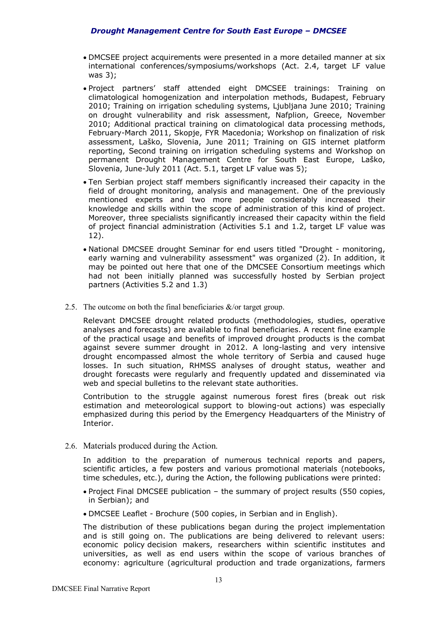- DMCSEE project acquirements were presented in a more detailed manner at six international conferences/symposiums/workshops (Act. 2.4, target LF value was 3);
- Project partners' staff attended eight DMCSEE trainings: Training on climatological homogenization and interpolation methods, Budapest, February 2010; Training on irrigation scheduling systems, Ljubljana June 2010; Training on drought vulnerability and risk assessment, Nafplion, Greece, November 2010; Additional practical training on climatological data processing methods, February-March 2011, Skopje, FYR Macedonia; Workshop on finalization of risk assessment, Laško, Slovenia, June 2011; Training on GIS internet platform reporting, Second training on irrigation scheduling systems and Workshop on permanent Drought Management Centre for South East Europe, Laško, Slovenia, June-July 2011 (Act. 5.1, target LF value was 5);
- Ten Serbian project staff members significantly increased their capacity in the field of drought monitoring, analysis and management. One of the previously mentioned experts and two more people considerably increased their knowledge and skills within the scope of administration of this kind of project. Moreover, three specialists significantly increased their capacity within the field of project financial administration (Activities 5.1 and 1.2, target LF value was 12).
- National DMCSEE drought Seminar for end users titled "Drought monitoring, early warning and vulnerability assessment" was organized (2). In addition, it may be pointed out here that one of the DMCSEE Consortium meetings which had not been initially planned was successfully hosted by Serbian project partners (Activities 5.2 and 1.3)
- 2.5. The outcome on both the final beneficiaries &/or target group.

Relevant DMCSEE drought related products (methodologies, studies, operative analyses and forecasts) are available to final beneficiaries. A recent fine example of the practical usage and benefits of improved drought products is the combat against severe summer drought in 2012. A long-lasting and very intensive drought encompassed almost the whole territory of Serbia and caused huge losses. In such situation, RHMSS analyses of drought status, weather and drought forecasts were regularly and frequently updated and disseminated via web and special bulletins to the relevant state authorities.

Contribution to the struggle against numerous forest fires (break out risk estimation and meteorological support to blowing-out actions) was especially emphasized during this period by the Emergency Headquarters of the Ministry of Interior.

2.6. Materials produced during the Action.

In addition to the preparation of numerous technical reports and papers, scientific articles, a few posters and various promotional materials (notebooks, time schedules, etc.), during the Action, the following publications were printed:

- Project Final DMCSEE publication the summary of project results (550 copies, in Serbian); and
- DMCSEE Leaflet Brochure (500 copies, in Serbian and in English).

The distribution of these publications began during the project implementation and is still going on. The publications are being delivered to relevant users: economic policy decision makers, researchers within scientific institutes and universities, as well as end users within the scope of various branches of economy: agriculture (agricultural production and trade organizations, farmers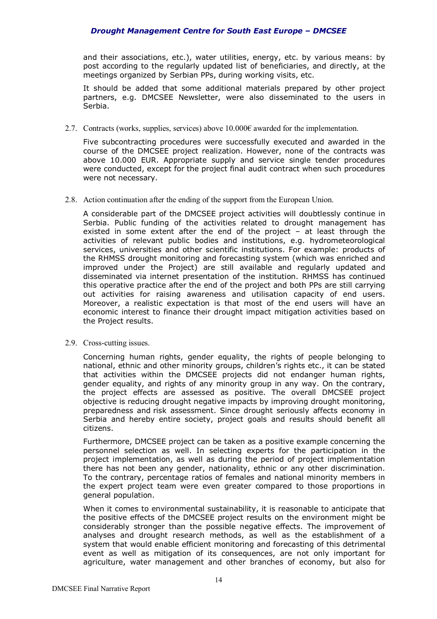and their associations, etc.), water utilities, energy, etc. by various means: by post according to the regularly updated list of beneficiaries, and directly, at the meetings organized by Serbian PPs, during working visits, etc.

It should be added that some additional materials prepared by other project partners, e.g. DMCSEE Newsletter, were also disseminated to the users in Serbia.

2.7. Contracts (works, supplies, services) above  $10.000\epsilon$  awarded for the implementation.

Five subcontracting procedures were successfully executed and awarded in the course of the DMCSEE project realization. However, none of the contracts was above 10.000 EUR. Appropriate supply and service single tender procedures were conducted, except for the project final audit contract when such procedures were not necessary.

2.8. Action continuation after the ending of the support from the European Union.

A considerable part of the DMCSEE project activities will doubtlessly continue in Serbia. Public funding of the activities related to drought management has existed in some extent after the end of the project – at least through the activities of relevant public bodies and institutions, e.g. hydrometeorological services, universities and other scientific institutions. For example: products of the RHMSS drought monitoring and forecasting system (which was enriched and improved under the Project) are still available and regularly updated and disseminated via internet presentation of the institution. RHMSS has continued this operative practice after the end of the project and both PPs are still carrying out activities for raising awareness and utilisation capacity of end users. Moreover, a realistic expectation is that most of the end users will have an economic interest to finance their drought impact mitigation activities based on the Project results.

2.9. Cross-cutting issues.

Concerning human rights, gender equality, the rights of people belonging to national, ethnic and other minority groups, children's rights etc., it can be stated that activities within the DMCSEE projects did not endanger human rights, gender equality, and rights of any minority group in any way. On the contrary, the project effects are assessed as positive. The overall DMCSEE project objective is reducing drought negative impacts by improving drought monitoring, preparedness and risk assessment. Since drought seriously affects economy in Serbia and hereby entire society, project goals and results should benefit all citizens.

Furthermore, DMCSEE project can be taken as a positive example concerning the personnel selection as well. In selecting experts for the participation in the project implementation, as well as during the period of project implementation there has not been any gender, nationality, ethnic or any other discrimination. To the contrary, percentage ratios of females and national minority members in the expert project team were even greater compared to those proportions in general population.

When it comes to environmental sustainability, it is reasonable to anticipate that the positive effects of the DMCSEE project results on the environment might be considerably stronger than the possible negative effects. The improvement of analyses and drought research methods, as well as the establishment of a system that would enable efficient monitoring and forecasting of this detrimental event as well as mitigation of its consequences, are not only important for agriculture, water management and other branches of economy, but also for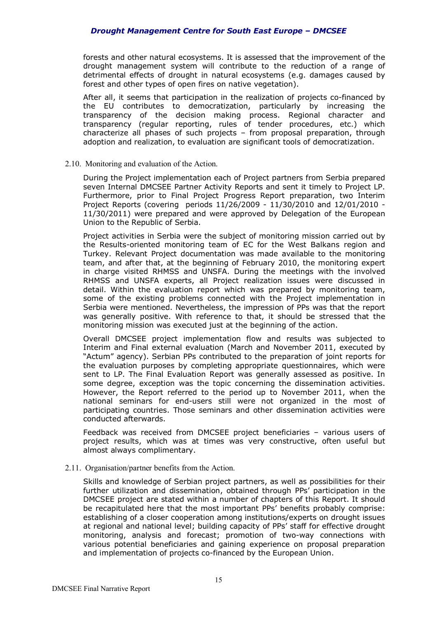forests and other natural ecosystems. It is assessed that the improvement of the drought management system will contribute to the reduction of a range of detrimental effects of drought in natural ecosystems (e.g. damages caused by forest and other types of open fires on native vegetation).

After all, it seems that participation in the realization of projects co-financed by the EU contributes to democratization, particularly by increasing the transparency of the decision making process. Regional character and transparency (regular reporting, rules of tender procedures, etc.) which characterize all phases of such projects – from proposal preparation, through adoption and realization, to evaluation are significant tools of democratization.

#### 2.10. Monitoring and evaluation of the Action.

During the Project implementation each of Project partners from Serbia prepared seven Internal DMCSEE Partner Activity Reports and sent it timely to Project LP. Furthermore, prior to Final Project Progress Report preparation, two Interim Project Reports (covering periods 11/26/2009 - 11/30/2010 and 12/01/2010 - 11/30/2011) were prepared and were approved by Delegation of the European Union to the Republic of Serbia.

Project activities in Serbia were the subject of monitoring mission carried out by the Results-oriented monitoring team of EC for the West Balkans region and Turkey. Relevant Project documentation was made available to the monitoring team, and after that, at the beginning of February 2010, the monitoring expert in charge visited RHMSS and UNSFA. During the meetings with the involved RHMSS and UNSFA experts, all Project realization issues were discussed in detail. Within the evaluation report which was prepared by monitoring team, some of the existing problems connected with the Project implementation in Serbia were mentioned. Nevertheless, the impression of PPs was that the report was generally positive. With reference to that, it should be stressed that the monitoring mission was executed just at the beginning of the action.

Overall DMCSEE project implementation flow and results was subjected to Interim and Final external evaluation (March and November 2011, executed by "Actum" agency). Serbian PPs contributed to the preparation of joint reports for the evaluation purposes by completing appropriate questionnaires, which were sent to LP. The Final Evaluation Report was generally assessed as positive. In some degree, exception was the topic concerning the dissemination activities. However, the Report referred to the period up to November 2011, when the national seminars for end-users still were not organized in the most of participating countries. Those seminars and other dissemination activities were conducted afterwards.

Feedback was received from DMCSEE project beneficiaries – various users of project results, which was at times was very constructive, often useful but almost always complimentary.

# 2.11. Organisation/partner benefits from the Action.

Skills and knowledge of Serbian project partners, as well as possibilities for their further utilization and dissemination, obtained through PPs' participation in the DMCSEE project are stated within a number of chapters of this Report. It should be recapitulated here that the most important PPs' benefits probably comprise: establishing of a closer cooperation among institutions/experts on drought issues at regional and national level; building capacity of PPs' staff for effective drought monitoring, analysis and forecast; promotion of two-way connections with various potential beneficiaries and gaining experience on proposal preparation and implementation of projects co-financed by the European Union.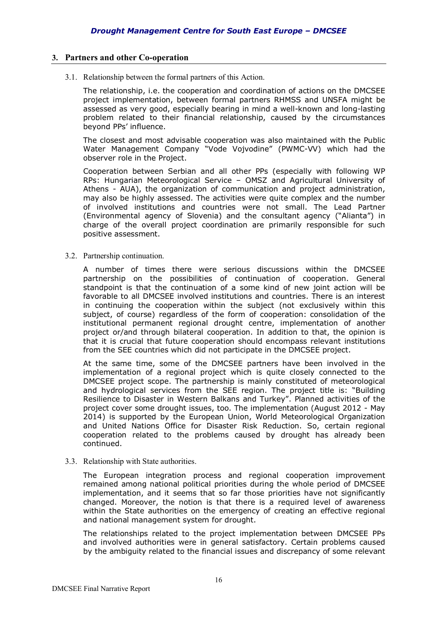# **3. Partners and other Co-operation**

3.1. Relationship between the formal partners of this Action.

The relationship, i.e. the cooperation and coordination of actions on the DMCSEE project implementation, between formal partners RHMSS and UNSFA might be assessed as very good, especially bearing in mind a well-known and long-lasting problem related to their financial relationship, caused by the circumstances beyond PPs' influence.

The closest and most advisable cooperation was also maintained with the Public Water Management Company "Vode Vojvodine" (PWMC-VV) which had the observer role in the Project.

Cooperation between Serbian and all other PPs (especially with following WP RPs: Hungarian Meteorological Service – OMSZ and Agricultural University of Athens - AUA), the organization of communication and project administration, may also be highly assessed. The activities were quite complex and the number of involved institutions and countries were not small. The Lead Partner (Environmental agency of Slovenia) and the consultant agency ("Alianta") in charge of the overall project coordination are primarily responsible for such positive assessment.

3.2. Partnership continuation.

A number of times there were serious discussions within the DMCSEE partnership on the possibilities of continuation of cooperation. General standpoint is that the continuation of a some kind of new joint action will be favorable to all DMCSEE involved institutions and countries. There is an interest in continuing the cooperation within the subject (not exclusively within this subject, of course) regardless of the form of cooperation: consolidation of the institutional permanent regional drought centre, implementation of another project or/and through bilateral cooperation. In addition to that, the opinion is that it is crucial that future cooperation should encompass relevant institutions from the SEE countries which did not participate in the DMCSEE project.

At the same time, some of the DMCSEE partners have been involved in the implementation of a regional project which is quite closely connected to the DMCSEE project scope. The partnership is mainly constituted of meteorological and hydrological services from the SEE region. The project title is: "Building Resilience to Disaster in Western Balkans and Turkey". Planned activities of the project cover some drought issues, too. The implementation (August 2012 - May 2014) is supported by the European Union, World Meteorological Organization and United Nations Office for Disaster Risk Reduction. So, certain regional cooperation related to the problems caused by drought has already been continued.

3.3. Relationship with State authorities.

The European integration process and regional cooperation improvement remained among national political priorities during the whole period of DMCSEE implementation, and it seems that so far those priorities have not significantly changed. Moreover, the notion is that there is a required level of awareness within the State authorities on the emergency of creating an effective regional and national management system for drought.

The relationships related to the project implementation between DMCSEE PPs and involved authorities were in general satisfactory. Certain problems caused by the ambiguity related to the financial issues and discrepancy of some relevant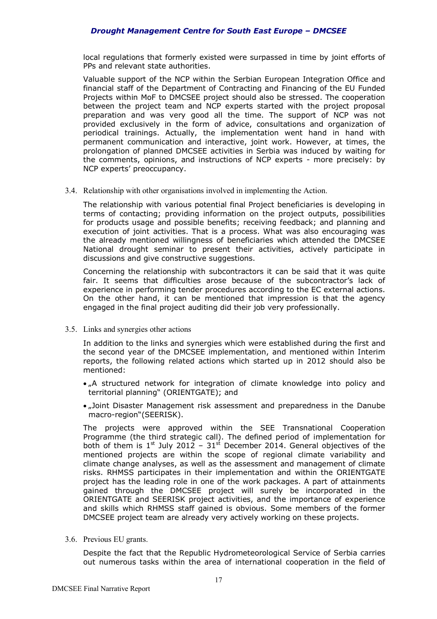local regulations that formerly existed were surpassed in time by joint efforts of PPs and relevant state authorities.

Valuable support of the NCP within the Serbian European Integration Office and financial staff of the Department of Contracting and Financing of the EU Funded Projects within MoF to DMCSEE project should also be stressed. The cooperation between the project team and NCP experts started with the project proposal preparation and was very good all the time. The support of NCP was not provided exclusively in the form of advice, consultations and organization of periodical trainings. Actually, the implementation went hand in hand with permanent communication and interactive, joint work. However, at times, the prolongation of planned DMCSEE activities in Serbia was induced by waiting for the comments, opinions, and instructions of NCP experts - more precisely: by NCP experts' preoccupancy.

3.4. Relationship with other organisations involved in implementing the Action.

The relationship with various potential final Project beneficiaries is developing in terms of contacting; providing information on the project outputs, possibilities for products usage and possible benefits; receiving feedback; and planning and execution of joint activities. That is a process. What was also encouraging was the already mentioned willingness of beneficiaries which attended the DMCSEE National drought seminar to present their activities, actively participate in discussions and give constructive suggestions.

Concerning the relationship with subcontractors it can be said that it was quite fair. It seems that difficulties arose because of the subcontractor's lack of experience in performing tender procedures according to the EC external actions. On the other hand, it can be mentioned that impression is that the agency engaged in the final project auditing did their job very professionally.

3.5. Links and synergies other actions

In addition to the links and synergies which were established during the first and the second year of the DMCSEE implementation, and mentioned within Interim reports, the following related actions which started up in 2012 should also be mentioned:

- . A structured network for integration of climate knowledge into policy and territorial planning" (ORIENTGATE); and
- . Joint Disaster Management risk assessment and preparedness in the Danube macro-region"(SEERISK).

The projects were approved within the SEE Transnational Cooperation Programme (the third strategic call). The defined period of implementation for both of them is  $1^{st}$  July 2012 –  $31^{st}$  December 2014. General objectives of the mentioned projects are within the scope of regional climate variability and climate change analyses, as well as the assessment and management of climate risks. RHMSS participates in their implementation and within the ORIENTGATE project has the leading role in one of the work packages. A part of attainments gained through the DMCSEE project will surely be incorporated in the ORIENTGATE and SEERISK project activities, and the importance of experience and skills which RHMSS staff gained is obvious. Some members of the former DMCSEE project team are already very actively working on these projects.

3.6. Previous EU grants.

Despite the fact that the Republic Hydrometeorological Service of Serbia carries out numerous tasks within the area of international cooperation in the field of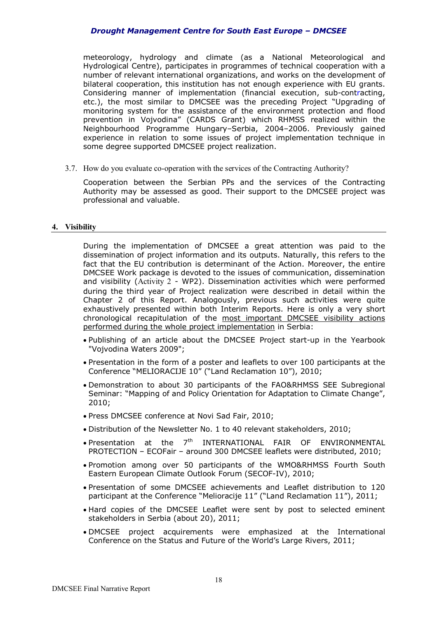meteorology, hydrology and climate (as a National Meteorological and Hydrological Centre), participates in programmes of technical cooperation with a number of relevant international organizations, and works on the development of bilateral cooperation, this institution has not enough experience with EU grants. Considering manner of implementation (financial execution, sub-contracting, etc.), the most similar to DMCSEE was the preceding Project "Upgrading of monitoring system for the assistance of the environment protection and flood prevention in Vojvodina" (CARDS Grant) which RHMSS realized within the Neighbourhood Programme Hungary–Serbia, 2004–2006. Previously gained experience in relation to some issues of project implementation technique in some degree supported DMCSEE project realization.

3.7. How do you evaluate co-operation with the services of the Contracting Authority?

Cooperation between the Serbian PPs and the services of the Contracting Authority may be assessed as good. Their support to the DMCSEE project was professional and valuable.

#### **4. Visibility**

During the implementation of DMCSEE a great attention was paid to the dissemination of project information and its outputs. Naturally, this refers to the fact that the EU contribution is determinant of the Action. Moreover, the entire DMCSEE Work package is devoted to the issues of communication, dissemination and visibility (Activity 2 - WP2). Dissemination activities which were performed during the third year of Project realization were described in detail within the Chapter 2 of this Report. Analogously, previous such activities were quite exhaustively presented within both Interim Reports. Here is only a very short chronological recapitulation of the most important DMCSEE visibility actions performed during the whole project implementation in Serbia:

- Publishing of an article about the DMCSEE Project start-up in the Yearbook "Vojvodina Waters 2009";
- Presentation in the form of a poster and leaflets to over 100 participants at the Conference "MELIORACIJE 10" ("Land Reclamation 10"), 2010;
- Demonstration to about 30 participants of the FAO&RHMSS SEE Subregional Seminar: "Mapping of and Policy Orientation for Adaptation to Climate Change", 2010;
- Press DMCSEE conference at Novi Sad Fair, 2010;
- Distribution of the Newsletter No. 1 to 40 relevant stakeholders, 2010;
- $\bullet$  Presentation at the  $7^{\text{th}}$  INTERNATIONAL FAIR OF ENVIRONMENTAL PROTECTION – ECOFair – around 300 DMCSEE leaflets were distributed, 2010;
- Promotion among over 50 participants of the WMO&RHMSS Fourth South Eastern European Climate Outlook Forum (SECOF-IV), 2010;
- Presentation of some DMCSEE achievements and Leaflet distribution to 120 participant at the Conference "Melioracije 11" ("Land Reclamation 11"), 2011;
- Hard copies of the DMCSEE Leaflet were sent by post to selected eminent stakeholders in Serbia (about 20), 2011;
- DMCSEE project acquirements were emphasized at the International Conference on the Status and Future of the World's Large Rivers, 2011;